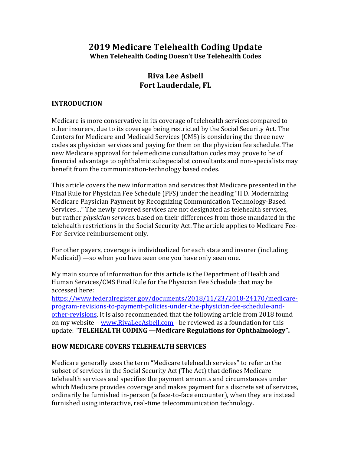# **2019 Medicare Telehealth Coding Update When Telehealth Coding Doesn't Use Telehealth Codes**

# **Riva Lee Asbell Fort Lauderdale, FL**

#### **INTRODUCTION**

Medicare is more conservative in its coverage of telehealth services compared to other insurers, due to its coverage being restricted by the Social Security Act. The Centers for Medicare and Medicaid Services (CMS) is considering the three new codes as physician services and paying for them on the physician fee schedule. The new Medicare approval for telemedicine consultation codes may prove to be of financial advantage to ophthalmic subspecialist consultants and non-specialists may benefit from the communication-technology based codes.

This article covers the new information and services that Medicare presented in the Final Rule for Physician Fee Schedule (PFS) under the heading "II D. Modernizing Medicare Physician Payment by Recognizing Communication Technology-Based Services..." The newly covered services are not designated as telehealth services, but rather *physician services*, based on their differences from those mandated in the telehealth restrictions in the Social Security Act. The article applies to Medicare Fee-For-Service reimbursement only.

For other payers, coverage is individualized for each state and insurer (including Medicaid)  $-$ so when you have seen one you have only seen one.

My main source of information for this article is the Department of Health and Human Services/CMS Final Rule for the Physician Fee Schedule that may be accessed here:

https://www.federalregister.gov/documents/2018/11/23/2018-24170/medicareprogram-revisions-to-payment-policies-under-the-physician-fee-schedule-andother-revisions. It is also recommended that the following article from 2018 found on my website - www.RivaLeeAsbell.com - be reviewed as a foundation for this update: "TELEHEALTH CODING - Medicare Regulations for Ophthalmology".

#### **HOW MEDICARE COVERS TELEHEALTH SERVICES**

Medicare generally uses the term "Medicare telehealth services" to refer to the subset of services in the Social Security Act (The Act) that defines Medicare telehealth services and specifies the payment amounts and circumstances under which Medicare provides coverage and makes payment for a discrete set of services, ordinarily be furnished in-person (a face-to-face encounter), when they are instead furnished using interactive, real-time telecommunication technology.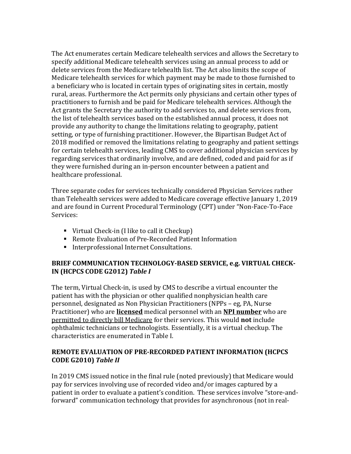The Act enumerates certain Medicare telehealth services and allows the Secretary to specify additional Medicare telehealth services using an annual process to add or delete services from the Medicare telehealth list. The Act also limits the scope of Medicare telehealth services for which payment may be made to those furnished to a beneficiary who is located in certain types of originating sites in certain, mostly rural, areas. Furthermore the Act permits only physicians and certain other types of practitioners to furnish and be paid for Medicare telehealth services. Although the Act grants the Secretary the authority to add services to, and delete services from, the list of telehealth services based on the established annual process, it does not provide any authority to change the limitations relating to geography, patient setting, or type of furnishing practitioner. However, the Bipartisan Budget Act of 2018 modified or removed the limitations relating to geography and patient settings for certain telehealth services, leading CMS to cover additional physician services by regarding services that ordinarily involve, and are defined, coded and paid for as if they were furnished during an in-person encounter between a patient and healthcare professional.

Three separate codes for services technically considered Physician Services rather than Telehealth services were added to Medicare coverage effective January 1, 2019 and are found in Current Procedural Terminology (CPT) under "Non-Face-To-Face Services:

- Virtual Check-in  $(I \text{ like to call it Checkup})$
- Remote Evaluation of Pre-Recorded Patient Information
- **Interprofessional Internet Consultations.**

### **BRIEF COMMUNICATION TECHNOLOGY-BASED SERVICE, e.g. VIRTUAL CHECK-IN (HCPCS CODE G2012)** *Table I*

The term, Virtual Check-in, is used by CMS to describe a virtual encounter the patient has with the physician or other qualified nonphysician health care personnel, designated as Non Physician Practitioners (NPPs – eg, PA, Nurse Practitioner) who are **licensed** medical personnel with an **NPI number** who are permitted to directly bill Medicare for their services. This would **not** include ophthalmic technicians or technologists. Essentially, it is a virtual checkup. The characteristics are enumerated in Table I.

### **REMOTE EVALUATION OF PRE-RECORDED PATIENT INFORMATION (HCPCS CODE G2010)** *Table II*

In 2019 CMS issued notice in the final rule (noted previously) that Medicare would pay for services involving use of recorded video and/or images captured by a patient in order to evaluate a patient's condition. These services involve "store-andforward" communication technology that provides for asynchronous (not in real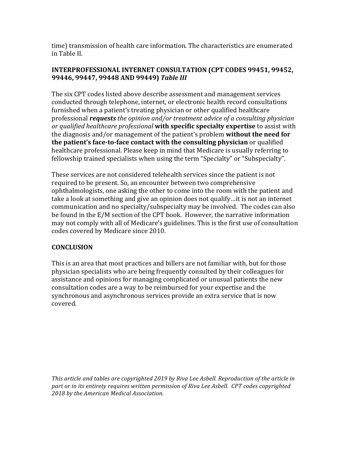time) transmission of health care information. The characteristics are enumerated in Table II.

### **INTERPROFESSIONAL INTERNET CONSULTATION (CPT CODES 99451, 99452, 99446, 99447, 99448 AND 99449)** *Table III*

The six CPT codes listed above describe assessment and management services conducted through telephone, internet, or electronic health record consultations furnished when a patient's treating physician or other qualified healthcare professional *requests* the opinion and/or treatment advice of a consulting physician *or qualified healthcare professional* with specific specialty expertise to assist with the diagnosis and/or management of the patient's problem **without the need for the patient's face-to-face contact with the consulting physician** or qualified healthcare professional. Please keep in mind that Medicare is usually referring to fellowship trained specialists when using the term "Specialty" or "Subspecialty".

These services are not considered telehealth services since the patient is not required to be present. So, an encounter between two comprehensive ophthalmologists, one asking the other to come into the room with the patient and take a look at something and give an opinion does not qualify...it is not an internet communication and no specialty/subspecialty may be involved. The codes can also be found in the E/M section of the CPT book. However, the narrative information may not comply with all of Medicare's guidelines. This is the first use of consultation codes covered by Medicare since 2010.

## **CONCLUSION**

This is an area that most practices and billers are not familiar with, but for those physician specialists who are being frequently consulted by their colleagues for assistance and opinions for managing complicated or unusual patients the new consultation codes are a way to be reimbursed for your expertise and the synchronous and asynchronous services provide an extra service that is now covered.

This article and tables are copyrighted 2019 by Riva Lee Asbell. Reproduction of the article in part or in its entirety requires written permission of Riva Lee Asbell. CPT codes copyrighted *2018 by the American Medical Association*.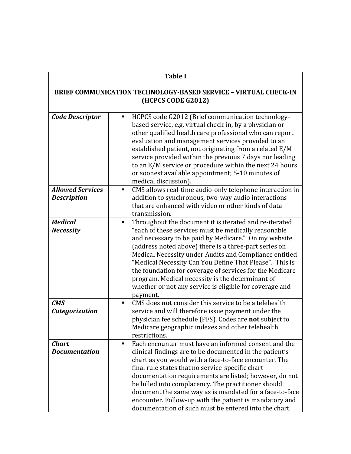| <b>Table I</b>                                                                               |                                                                                                                                                                                                                                                                                                                                                                                                                                                                                                                                                  |  |
|----------------------------------------------------------------------------------------------|--------------------------------------------------------------------------------------------------------------------------------------------------------------------------------------------------------------------------------------------------------------------------------------------------------------------------------------------------------------------------------------------------------------------------------------------------------------------------------------------------------------------------------------------------|--|
| <b>BRIEF COMMUNICATION TECHNOLOGY-BASED SERVICE - VIRTUAL CHECK-IN</b><br>(HCPCS CODE G2012) |                                                                                                                                                                                                                                                                                                                                                                                                                                                                                                                                                  |  |
| <b>Code Descriptor</b>                                                                       | HCPCS code G2012 (Brief communication technology-<br>٠<br>based service, e.g. virtual check-in, by a physician or<br>other qualified health care professional who can report<br>evaluation and management services provided to an<br>established patient, not originating from a related E/M<br>service provided within the previous 7 days nor leading<br>to an E/M service or procedure within the next 24 hours<br>or soonest available appointment; 5-10 minutes of<br>medical discussion).                                                  |  |
| <b>Allowed Services</b><br><b>Description</b>                                                | CMS allows real-time audio-only telephone interaction in<br>٠<br>addition to synchronous, two-way audio interactions<br>that are enhanced with video or other kinds of data<br>transmission.                                                                                                                                                                                                                                                                                                                                                     |  |
| <b>Medical</b><br><b>Necessity</b>                                                           | Throughout the document it is iterated and re-iterated<br>٠<br>"each of these services must be medically reasonable<br>and necessary to be paid by Medicare." On my website<br>(address noted above) there is a three-part series on<br>Medical Necessity under Audits and Compliance entitled<br>"Medical Necessity Can You Define That Please". This is<br>the foundation for coverage of services for the Medicare<br>program. Medical necessity is the determinant of<br>whether or not any service is eligible for coverage and<br>payment. |  |
| <b>CMS</b><br><b>Categorization</b>                                                          | CMS does <b>not</b> consider this service to be a telehealth<br>$\blacksquare$<br>service and will therefore issue payment under the<br>physician fee schedule (PFS). Codes are not subject to<br>Medicare geographic indexes and other telehealth<br>restrictions.                                                                                                                                                                                                                                                                              |  |
| <b>Chart</b><br><b>Documentation</b>                                                         | Each encounter must have an informed consent and the<br>٠<br>clinical findings are to be documented in the patient's<br>chart as you would with a face-to-face encounter. The<br>final rule states that no service-specific chart<br>documentation requirements are listed; however, do not<br>be lulled into complacency. The practitioner should<br>document the same way as is mandated for a face-to-face<br>encounter. Follow-up with the patient is mandatory and<br>documentation of such must be entered into the chart.                 |  |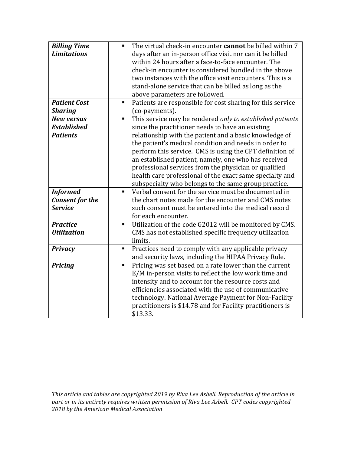| <b>Billing Time</b><br><b>Limitations</b>                   | The virtual check-in encounter cannot be billed within 7<br>$\blacksquare$<br>days after an in-person office visit nor can it be billed<br>within 24 hours after a face-to-face encounter. The<br>check-in encounter is considered bundled in the above<br>two instances with the office visit encounters. This is a<br>stand-alone service that can be billed as long as the<br>above parameters are followed.                                                                                                                        |
|-------------------------------------------------------------|----------------------------------------------------------------------------------------------------------------------------------------------------------------------------------------------------------------------------------------------------------------------------------------------------------------------------------------------------------------------------------------------------------------------------------------------------------------------------------------------------------------------------------------|
| <b>Patient Cost</b><br><b>Sharing</b>                       | Patients are responsible for cost sharing for this service<br>$\blacksquare$<br>(co-payments).                                                                                                                                                                                                                                                                                                                                                                                                                                         |
| <b>New versus</b><br><b>Established</b><br><b>Patients</b>  | This service may be rendered only to established patients<br>٠<br>since the practitioner needs to have an existing<br>relationship with the patient and a basic knowledge of<br>the patient's medical condition and needs in order to<br>perform this service. CMS is using the CPT definition of<br>an established patient, namely, one who has received<br>professional services from the physician or qualified<br>health care professional of the exact same specialty and<br>subspecialty who belongs to the same group practice. |
| <b>Informed</b><br><b>Consent for the</b><br><b>Service</b> | Verbal consent for the service must be documented in<br>$\blacksquare$<br>the chart notes made for the encounter and CMS notes<br>such consent must be entered into the medical record<br>for each encounter.                                                                                                                                                                                                                                                                                                                          |
| <b>Practice</b><br><b>Utilization</b>                       | Utilization of the code G2012 will be monitored by CMS.<br>$\blacksquare$<br>CMS has not established specific frequency utilization<br>limits.                                                                                                                                                                                                                                                                                                                                                                                         |
| <b>Privacy</b>                                              | Practices need to comply with any applicable privacy<br>Ξ<br>and security laws, including the HIPAA Privacy Rule.                                                                                                                                                                                                                                                                                                                                                                                                                      |
| <b>Pricing</b>                                              | Pricing was set based on a rate lower than the current<br>٠<br>E/M in-person visits to reflect the low work time and<br>intensity and to account for the resource costs and<br>efficiencies associated with the use of communicative<br>technology. National Average Payment for Non-Facility<br>practitioners is \$14.78 and for Facility practitioners is<br>\$13.33.                                                                                                                                                                |

This article and tables are copyrighted 2019 by Riva Lee Asbell. Reproduction of the article in part or in its entirety requires written permission of Riva Lee Asbell. CPT codes copyrighted *2018 by the American Medical Association*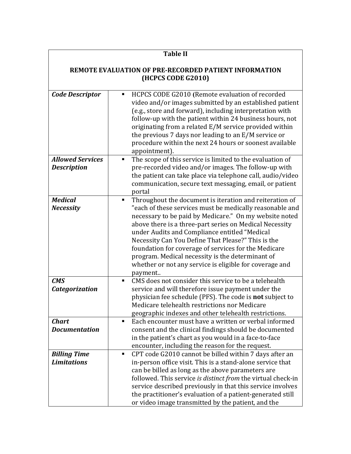| <b>Table II</b><br><b>REMOTE EVALUATION OF PRE-RECORDED PATIENT INFORMATION</b><br>(HCPCS CODE G2010) |                                                                                                                                                                                                                                                                                                                                                                                                                                                                                                                                                     |  |
|-------------------------------------------------------------------------------------------------------|-----------------------------------------------------------------------------------------------------------------------------------------------------------------------------------------------------------------------------------------------------------------------------------------------------------------------------------------------------------------------------------------------------------------------------------------------------------------------------------------------------------------------------------------------------|--|
|                                                                                                       |                                                                                                                                                                                                                                                                                                                                                                                                                                                                                                                                                     |  |
| <b>Allowed Services</b><br><b>Description</b>                                                         | The scope of this service is limited to the evaluation of<br>٠<br>pre-recorded video and/or images. The follow-up with<br>the patient can take place via telephone call, audio/video<br>communication, secure text messaging, email, or patient<br>portal                                                                                                                                                                                                                                                                                           |  |
| <b>Medical</b><br><b>Necessity</b>                                                                    | Throughout the document is iteration and reiteration of<br>$\blacksquare$<br>"each of these services must be medically reasonable and<br>necessary to be paid by Medicare." On my website noted<br>above there is a three-part series on Medical Necessity<br>under Audits and Compliance entitled "Medical<br>Necessity Can You Define That Please?" This is the<br>foundation for coverage of services for the Medicare<br>program. Medical necessity is the determinant of<br>whether or not any service is eligible for coverage and<br>payment |  |
| CMS<br><b>Categorization</b>                                                                          | CMS does not consider this service to be a telehealth<br>$\blacksquare$<br>service and will therefore issue payment under the<br>physician fee schedule (PFS). The code is <b>not</b> subject to<br>Medicare telehealth restrictions nor Medicare<br>geographic indexes and other telehealth restrictions.                                                                                                                                                                                                                                          |  |
| <b>Chart</b><br><b>Documentation</b>                                                                  | Each encounter must have a written or verbal informed<br>٠<br>consent and the clinical findings should be documented<br>in the patient's chart as you would in a face-to-face<br>encounter, including the reason for the request.                                                                                                                                                                                                                                                                                                                   |  |
| <b>Billing Time</b><br><b>Limitations</b>                                                             | CPT code G2010 cannot be billed within 7 days after an<br>٠<br>in-person office visit. This is a stand-alone service that<br>can be billed as long as the above parameters are<br>followed. This service is distinct from the virtual check-in<br>service described previously in that this service involves<br>the practitioner's evaluation of a patient-generated still<br>or video image transmitted by the patient, and the                                                                                                                    |  |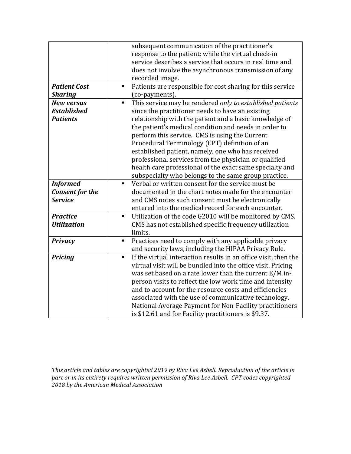|                        | subsequent communication of the practitioner's                                    |
|------------------------|-----------------------------------------------------------------------------------|
|                        | response to the patient; while the virtual check-in                               |
|                        | service describes a service that occurs in real time and                          |
|                        | does not involve the asynchronous transmission of any                             |
|                        | recorded image.                                                                   |
| <b>Patient Cost</b>    | Patients are responsible for cost sharing for this service<br>Ξ                   |
| <b>Sharing</b>         | (co-payments).                                                                    |
| <b>New versus</b>      | This service may be rendered only to established patients<br>$\blacksquare$       |
| <b>Established</b>     | since the practitioner needs to have an existing                                  |
| <b>Patients</b>        | relationship with the patient and a basic knowledge of                            |
|                        | the patient's medical condition and needs in order to                             |
|                        | perform this service. CMS is using the Current                                    |
|                        | Procedural Terminology (CPT) definition of an                                     |
|                        | established patient, namely, one who has received                                 |
|                        | professional services from the physician or qualified                             |
|                        | health care professional of the exact same specialty and                          |
|                        | subspecialty who belongs to the same group practice.                              |
| <b>Informed</b>        | Verbal or written consent for the service must be<br>$\blacksquare$               |
| <b>Consent for the</b> | documented in the chart notes made for the encounter                              |
| <b>Service</b>         | and CMS notes such consent must be electronically                                 |
|                        | entered into the medical record for each encounter.                               |
| <b>Practice</b>        | Utilization of the code G2010 will be monitored by CMS.<br>$\blacksquare$         |
| <b>Utilization</b>     | CMS has not established specific frequency utilization                            |
|                        | limits.                                                                           |
| <b>Privacy</b>         | Practices need to comply with any applicable privacy<br>п                         |
|                        | and security laws, including the HIPAA Privacy Rule.                              |
| <b>Pricing</b>         | If the virtual interaction results in an office visit, then the<br>$\blacksquare$ |
|                        | virtual visit will be bundled into the office visit. Pricing                      |
|                        | was set based on a rate lower than the current E/M in-                            |
|                        | person visits to reflect the low work time and intensity                          |
|                        | and to account for the resource costs and efficiencies                            |
|                        | associated with the use of communicative technology.                              |
|                        | National Average Payment for Non-Facility practitioners                           |
|                        | is \$12.61 and for Facility practitioners is \$9.37.                              |

This article and tables are copyrighted 2019 by Riva Lee Asbell. Reproduction of the article in part or in its entirety requires written permission of Riva Lee Asbell. CPT codes copyrighted *2018 by the American Medical Association*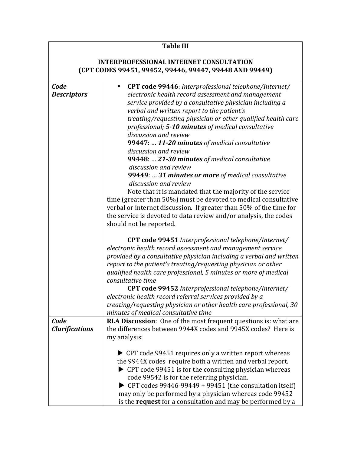### **Table III INTERPROFESSIONAL INTERNET CONSULTATION (CPT CODES 99451, 99452, 99446, 99447, 99448 AND 99449)** *Code Descriptors* ■ **CPT code 99446**: Interprofessional telephone/Internet/ *electronic health record assessment and management service provided by a consultative physician including a verbal and written report to the patient's treating/requesting physician or other qualified health care professional; 5-10 minutes of medical consultative discussion and review* 99447: ... 11-20 minutes of medical consultative *discussion and review* **99448:** ... 21-30 minutes of medical consultative *discussion and review* **99449: ... 31 minutes or more** of medical consultative *discussion and review* Note that it is mandated that the majority of the service time (greater than 50%) must be devoted to medical consultative verbal or internet discussion. If greater than 50% of the time for the service is devoted to data review and/or analysis, the codes should not be reported. **CPT code 99451** *Interprofessional telephone/Internet/ electronic health record assessment and management service provided by a consultative physician including a verbal and written report to the patient's treating/requesting physician or other qualified health care professional, 5 minutes or more of medical consultative time* **CPT code 99452** *Interprofessional telephone/Internet/ electronic health record referral services provided by a treating/requesting physician or other health care professional, 30 minutes of medical consultative time Code Clarifications* **RLA Discussion**: One of the most frequent questions is: what are the differences between 9944X codes and 9945X codes? Here is my analysis:  $\triangleright$  CPT code 99451 requires only a written report whereas the 9944X codes require both a written and verbal report.  $\triangleright$  CPT code 99451 is for the consulting physician whereas code 99542 is for the referring physician.  $\triangleright$  CPT codes 99446-99449 + 99451 (the consultation itself) may only be performed by a physician whereas code 99452 is the **request** for a consultation and may be performed by a